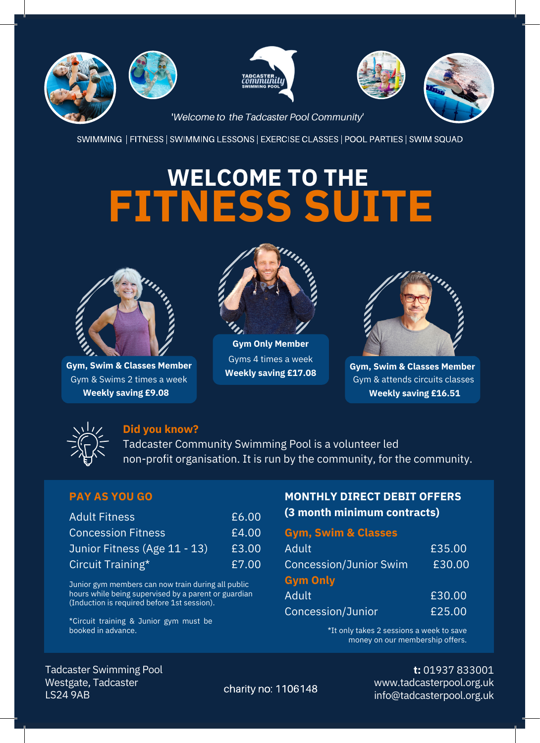









'*Welcome to the Tadcaster Pool Community'*

SWIMMING | FITNESS | SWIMMING LESSONS | EXERCISE CLASSES | POOL PARTIES | SWIM SQUAD

# **WELCOME TO THE FITNESS SUITE**



**Gym, Swim & Classes Member** Gym & Swims 2 times a week **Weekly saving £9.08**



**Gym Only Member** Gyms 4 times a week



**Weekly saving £17.08 Gym, Swim & Classes Member** Gym & attends circuits classes **Weekly saving £16.51**



### **Did you know?**

Tadcaster Community Swimming Pool is a volunteer led non-profit organisation. It is run by the community, for the community.

| <b>Adult Fitness</b>         | £6.00 |
|------------------------------|-------|
| <b>Concession Fitness</b>    | £4.00 |
| Junior Fitness (Age 11 - 13) | £3.00 |
| Circuit Training*            | £7.00 |

Junior gym members can now train during all public hours while being supervised by a parent or guardian (Induction is required before 1st session).

£25.00 \*Circuit training & Junior gym must be booked in advance.

## **PAY AS YOU GO MONTHLY DIRECT DEBIT OFFERS (3 month minimum contracts)** £6.00

### **Gym, Swim & Classes**

| Adult                         | £35.00 |
|-------------------------------|--------|
| <b>Concession/Junior Swim</b> | £30.00 |
| <b>Gym Only</b>               |        |
| Adult                         | £30.00 |
| Concession/Junior             | £25.00 |

\*It only takes 2 sessions a week to save money on our membership offers.

Westgate, Tadcaster LS24 9AB Tadcaster Swimming Pool **t:** 01937 833001

www.tadcasterpool.org.uk charity no: 1106148 www.taucasterpool.org.uk<br>info@tadcasterpool.org.uk